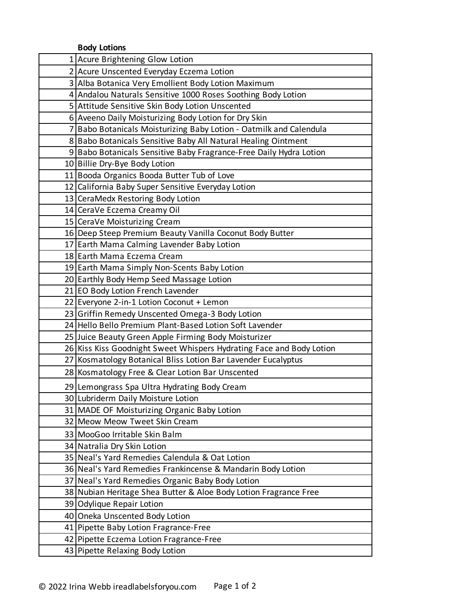|  | <b>Body Lotions</b> |
|--|---------------------|
|--|---------------------|

| <b>DOUY LOUDID</b>                                                   |
|----------------------------------------------------------------------|
| 1 Acure Brightening Glow Lotion                                      |
| 2 Acure Unscented Everyday Eczema Lotion                             |
| 3 Alba Botanica Very Emollient Body Lotion Maximum                   |
| 4 Andalou Naturals Sensitive 1000 Roses Soothing Body Lotion         |
| 5 Attitude Sensitive Skin Body Lotion Unscented                      |
| 6 Aveeno Daily Moisturizing Body Lotion for Dry Skin                 |
| 7 Babo Botanicals Moisturizing Baby Lotion - Oatmilk and Calendula   |
| 8 Babo Botanicals Sensitive Baby All Natural Healing Ointment        |
| 9 Babo Botanicals Sensitive Baby Fragrance-Free Daily Hydra Lotion   |
| 10 Billie Dry-Bye Body Lotion                                        |
| 11 Booda Organics Booda Butter Tub of Love                           |
| 12 California Baby Super Sensitive Everyday Lotion                   |
| 13 CeraMedx Restoring Body Lotion                                    |
| 14 CeraVe Eczema Creamy Oil                                          |
| 15 CeraVe Moisturizing Cream                                         |
| 16 Deep Steep Premium Beauty Vanilla Coconut Body Butter             |
| 17 Earth Mama Calming Lavender Baby Lotion                           |
| 18 Earth Mama Eczema Cream                                           |
| 19 Earth Mama Simply Non-Scents Baby Lotion                          |
| 20 Earthly Body Hemp Seed Massage Lotion                             |
| 21 EO Body Lotion French Lavender                                    |
| 22 Everyone 2-in-1 Lotion Coconut + Lemon                            |
| 23 Griffin Remedy Unscented Omega-3 Body Lotion                      |
| 24 Hello Bello Premium Plant-Based Lotion Soft Lavender              |
| 25 Juice Beauty Green Apple Firming Body Moisturizer                 |
| 26 Kiss Kiss Goodnight Sweet Whispers Hydrating Face and Body Lotion |
| 27 Kosmatology Botanical Bliss Lotion Bar Lavender Eucalyptus        |
| 28 Kosmatology Free & Clear Lotion Bar Unscented                     |
| 29 Lemongrass Spa Ultra Hydrating Body Cream                         |
| 30 Lubriderm Daily Moisture Lotion                                   |
| 31 MADE OF Moisturizing Organic Baby Lotion                          |
| 32 Meow Meow Tweet Skin Cream                                        |
| 33 MooGoo Irritable Skin Balm                                        |
| 34 Natralia Dry Skin Lotion                                          |
| 35 Neal's Yard Remedies Calendula & Oat Lotion                       |
| 36 Neal's Yard Remedies Frankincense & Mandarin Body Lotion          |
| 37 Neal's Yard Remedies Organic Baby Body Lotion                     |
| 38 Nubian Heritage Shea Butter & Aloe Body Lotion Fragrance Free     |
| 39 Odylique Repair Lotion                                            |
| 40 Oneka Unscented Body Lotion                                       |
| 41 Pipette Baby Lotion Fragrance-Free                                |
| 42 Pipette Eczema Lotion Fragrance-Free                              |
| 43 Pipette Relaxing Body Lotion                                      |
|                                                                      |